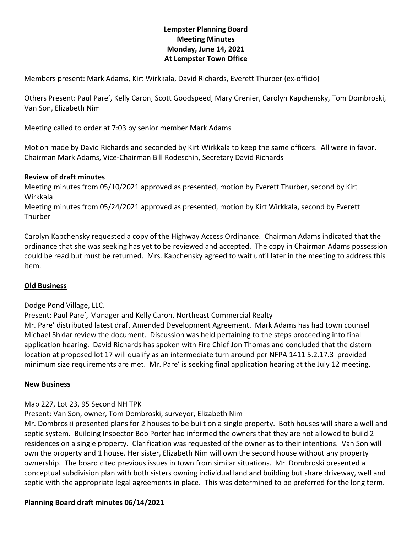# **Lempster Planning Board Meeting Minutes Monday, June 14, 2021 At Lempster Town Office**

Members present: Mark Adams, Kirt Wirkkala, David Richards, Everett Thurber (ex-officio)

Others Present: Paul Pare', Kelly Caron, Scott Goodspeed, Mary Grenier, Carolyn Kapchensky, Tom Dombroski, Van Son, Elizabeth Nim

Meeting called to order at 7:03 by senior member Mark Adams

Motion made by David Richards and seconded by Kirt Wirkkala to keep the same officers. All were in favor. Chairman Mark Adams, Vice-Chairman Bill Rodeschin, Secretary David Richards

#### **Review of draft minutes**

Meeting minutes from 05/10/2021 approved as presented, motion by Everett Thurber, second by Kirt Wirkkala

Meeting minutes from 05/24/2021 approved as presented, motion by Kirt Wirkkala, second by Everett **Thurber** 

Carolyn Kapchensky requested a copy of the Highway Access Ordinance. Chairman Adams indicated that the ordinance that she was seeking has yet to be reviewed and accepted. The copy in Chairman Adams possession could be read but must be returned. Mrs. Kapchensky agreed to wait until later in the meeting to address this item.

### **Old Business**

#### Dodge Pond Village, LLC.

Present: Paul Pare', Manager and Kelly Caron, Northeast Commercial Realty Mr. Pare' distributed latest draft Amended Development Agreement. Mark Adams has had town counsel Michael Shklar review the document. Discussion was held pertaining to the steps proceeding into final application hearing. David Richards has spoken with Fire Chief Jon Thomas and concluded that the cistern location at proposed lot 17 will qualify as an intermediate turn around per NFPA 1411 5.2.17.3 provided minimum size requirements are met. Mr. Pare' is seeking final application hearing at the July 12 meeting.

#### **New Business**

#### Map 227, Lot 23, 95 Second NH TPK

Present: Van Son, owner, Tom Dombroski, surveyor, Elizabeth Nim

Mr. Dombroski presented plans for 2 houses to be built on a single property. Both houses will share a well and septic system. Building Inspector Bob Porter had informed the owners that they are not allowed to build 2 residences on a single property. Clarification was requested of the owner as to their intentions. Van Son will own the property and 1 house. Her sister, Elizabeth Nim will own the second house without any property ownership. The board cited previous issues in town from similar situations. Mr. Dombroski presented a conceptual subdivision plan with both sisters owning individual land and building but share driveway, well and septic with the appropriate legal agreements in place. This was determined to be preferred for the long term.

#### **Planning Board draft minutes 06/14/2021**